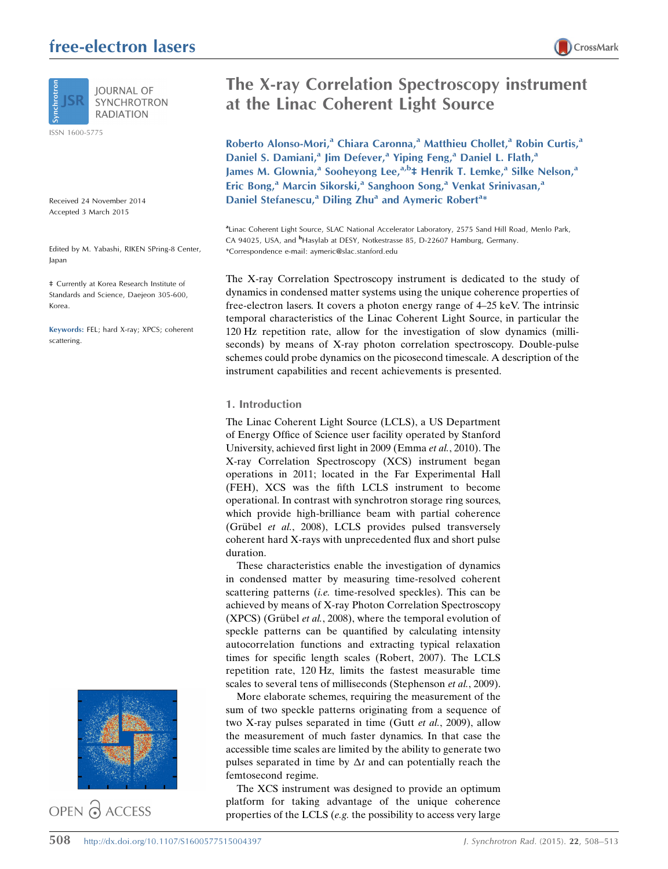# free-electron lasers



**SYNCHROTRON RADIATION** 

ISSN 1600-5775

Received 24 November 2014 Accepted 3 March 2015

Edited by M. Yabashi, RIKEN SPring-8 Center, Japan

‡ Currently at Korea Research Institute of Standards and Science, Daejeon 305-600, Korea.

Keywords: FEL; hard X-ray; XPCS; coherent scattering.



OPEN & ACCESS



CrossMark

# at the Linac Coherent Light Source

Roberto Alonso-Mori,<sup>a</sup> Chiara Caronna,<sup>a</sup> Matthieu Chollet,<sup>a</sup> Robin Curtis,<sup>a</sup> Daniel S. Damiani,<sup>a</sup> Jim Defever,<sup>a</sup> Yiping Feng,<sup>a</sup> Daniel L. Flath,<sup>a</sup> James M. Glownia,<sup>a</sup> Sooheyong Lee,<sup>a,b</sup>‡ Henrik T. Lemke,<sup>a</sup> Silke Nelson,<sup>a</sup> Eric Bong,<sup>a</sup> Marcin Sikorski,<sup>a</sup> Sanghoon Song,<sup>a</sup> Venkat Srinivasan,<sup>a</sup> Daniel Stefanescu,<sup>a</sup> Diling Zhu<sup>a</sup> and Aymeric Robert<sup>a\*</sup>

aLinac Coherent Light Source, SLAC National Accelerator Laboratory, 2575 Sand Hill Road, Menlo Park, CA 94025, USA, and <sup>b</sup>Hasylab at DESY, Notkestrasse 85, D-22607 Hamburg, Germany. \*Correspondence e-mail: aymeric@slac.stanford.edu

The X-ray Correlation Spectroscopy instrument is dedicated to the study of dynamics in condensed matter systems using the unique coherence properties of free-electron lasers. It covers a photon energy range of 4–25 keV. The intrinsic temporal characteristics of the Linac Coherent Light Source, in particular the 120 Hz repetition rate, allow for the investigation of slow dynamics (milliseconds) by means of X-ray photon correlation spectroscopy. Double-pulse schemes could probe dynamics on the picosecond timescale. A description of the instrument capabilities and recent achievements is presented.

#### 1. Introduction

The Linac Coherent Light Source (LCLS), a US Department of Energy Office of Science user facility operated by Stanford University, achieved first light in 2009 (Emma et al., 2010). The X-ray Correlation Spectroscopy (XCS) instrument began operations in 2011; located in the Far Experimental Hall (FEH), XCS was the fifth LCLS instrument to become operational. In contrast with synchrotron storage ring sources, which provide high-brilliance beam with partial coherence (Grübel et al., 2008), LCLS provides pulsed transversely coherent hard X-rays with unprecedented flux and short pulse duration.

These characteristics enable the investigation of dynamics in condensed matter by measuring time-resolved coherent scattering patterns *(i.e.* time-resolved speckles). This can be achieved by means of X-ray Photon Correlation Spectroscopy  $(XPCS)$  (Grübel et al., 2008), where the temporal evolution of speckle patterns can be quantified by calculating intensity autocorrelation functions and extracting typical relaxation times for specific length scales (Robert, 2007). The LCLS repetition rate, 120 Hz, limits the fastest measurable time scales to several tens of milliseconds (Stephenson et al., 2009).

More elaborate schemes, requiring the measurement of the sum of two speckle patterns originating from a sequence of two X-ray pulses separated in time (Gutt et al., 2009), allow the measurement of much faster dynamics. In that case the accessible time scales are limited by the ability to generate two pulses separated in time by  $\Delta t$  and can potentially reach the femtosecond regime.

The XCS instrument was designed to provide an optimum platform for taking advantage of the unique coherence properties of the LCLS (e.g. the possibility to access very large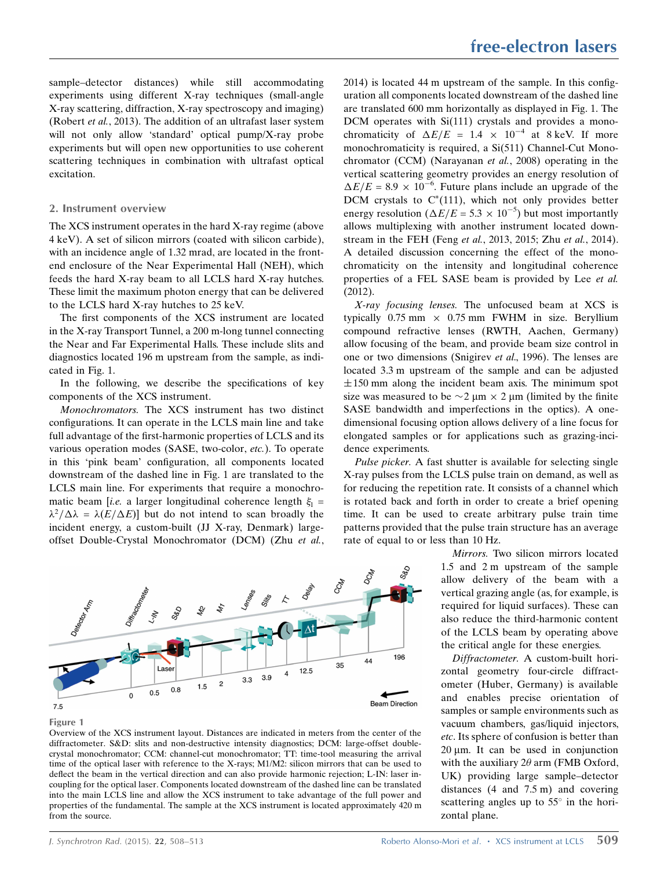sample–detector distances) while still accommodating experiments using different X-ray techniques (small-angle X-ray scattering, diffraction, X-ray spectroscopy and imaging) (Robert et al., 2013). The addition of an ultrafast laser system will not only allow 'standard' optical pump/X-ray probe experiments but will open new opportunities to use coherent scattering techniques in combination with ultrafast optical excitation.

#### 2. Instrument overview

The XCS instrument operates in the hard X-ray regime (above 4 keV). A set of silicon mirrors (coated with silicon carbide), with an incidence angle of 1.32 mrad, are located in the frontend enclosure of the Near Experimental Hall (NEH), which feeds the hard X-ray beam to all LCLS hard X-ray hutches. These limit the maximum photon energy that can be delivered to the LCLS hard X-ray hutches to 25 keV.

The first components of the XCS instrument are located in the X-ray Transport Tunnel, a 200 m-long tunnel connecting the Near and Far Experimental Halls. These include slits and diagnostics located 196 m upstream from the sample, as indicated in Fig. 1.

In the following, we describe the specifications of key components of the XCS instrument.

Monochromators. The XCS instrument has two distinct configurations. It can operate in the LCLS main line and take full advantage of the first-harmonic properties of LCLS and its various operation modes (SASE, two-color, etc.). To operate in this 'pink beam' configuration, all components located downstream of the dashed line in Fig. 1 are translated to the LCLS main line. For experiments that require a monochromatic beam [*i.e.* a larger longitudinal coherence length  $\xi_1 =$  $\lambda^2/\Delta\lambda = \lambda(E/\Delta E)$  but do not intend to scan broadly the incident energy, a custom-built (JJ X-ray, Denmark) largeoffset Double-Crystal Monochromator (DCM) (Zhu et al., 2014) is located 44 m upstream of the sample. In this configuration all components located downstream of the dashed line are translated 600 mm horizontally as displayed in Fig. 1. The DCM operates with Si(111) crystals and provides a monochromaticity of  $\Delta E/E = 1.4 \times 10^{-4}$  at 8 keV. If more monochromaticity is required, a Si(511) Channel-Cut Monochromator (CCM) (Narayanan et al., 2008) operating in the vertical scattering geometry provides an energy resolution of  $\Delta E/E = 8.9 \times 10^{-6}$ . Future plans include an upgrade of the DCM crystals to  $C^*(111)$ , which not only provides better energy resolution  $(\Delta E/E = 5.3 \times 10^{-5})$  but most importantly allows multiplexing with another instrument located downstream in the FEH (Feng et al., 2013, 2015; Zhu et al., 2014). A detailed discussion concerning the effect of the monochromaticity on the intensity and longitudinal coherence properties of a FEL SASE beam is provided by Lee et al. (2012).

 $X$ -ray focusing lenses. The unfocused beam at  $XCS$  is typically  $0.75$  mm  $\times$  0.75 mm FWHM in size. Beryllium compound refractive lenses (RWTH, Aachen, Germany) allow focusing of the beam, and provide beam size control in one or two dimensions (Snigirev et al., 1996). The lenses are located 3.3 m upstream of the sample and can be adjusted  $\pm 150$  mm along the incident beam axis. The minimum spot size was measured to be  $\sim$  2  $\mu$ m  $\times$  2  $\mu$ m (limited by the finite SASE bandwidth and imperfections in the optics). A onedimensional focusing option allows delivery of a line focus for elongated samples or for applications such as grazing-incidence experiments.

Pulse picker. A fast shutter is available for selecting single X-ray pulses from the LCLS pulse train on demand, as well as for reducing the repetition rate. It consists of a channel which is rotated back and forth in order to create a brief opening time. It can be used to create arbitrary pulse train time patterns provided that the pulse train structure has an average rate of equal to or less than 10 Hz.

> Mirrors. Two silicon mirrors located 1.5 and 2 m upstream of the sample allow delivery of the beam with a vertical grazing angle (as, for example, is required for liquid surfaces). These can also reduce the third-harmonic content of the LCLS beam by operating above the critical angle for these energies.

> Diffractometer. A custom-built horizontal geometry four-circle diffractometer (Huber, Germany) is available and enables precise orientation of samples or sample environments such as vacuum chambers, gas/liquid injectors, etc. Its sphere of confusion is better than  $20 \mu m$ . It can be used in conjunction with the auxiliary  $2\theta$  arm (FMB Oxford, UK) providing large sample–detector distances (4 and 7.5 m) and covering scattering angles up to  $55^\circ$  in the horizontal plane.



Figure 1

Overview of the XCS instrument layout. Distances are indicated in meters from the center of the diffractometer. S&D: slits and non-destructive intensity diagnostics; DCM: large-offset doublecrystal monochromator; CCM: channel-cut monochromator; TT: time-tool measuring the arrival time of the optical laser with reference to the X-rays; M1/M2: silicon mirrors that can be used to deflect the beam in the vertical direction and can also provide harmonic rejection; L-IN: laser incoupling for the optical laser. Components located downstream of the dashed line can be translated into the main LCLS line and allow the XCS instrument to take advantage of the full power and properties of the fundamental. The sample at the XCS instrument is located approximately 420 m from the source.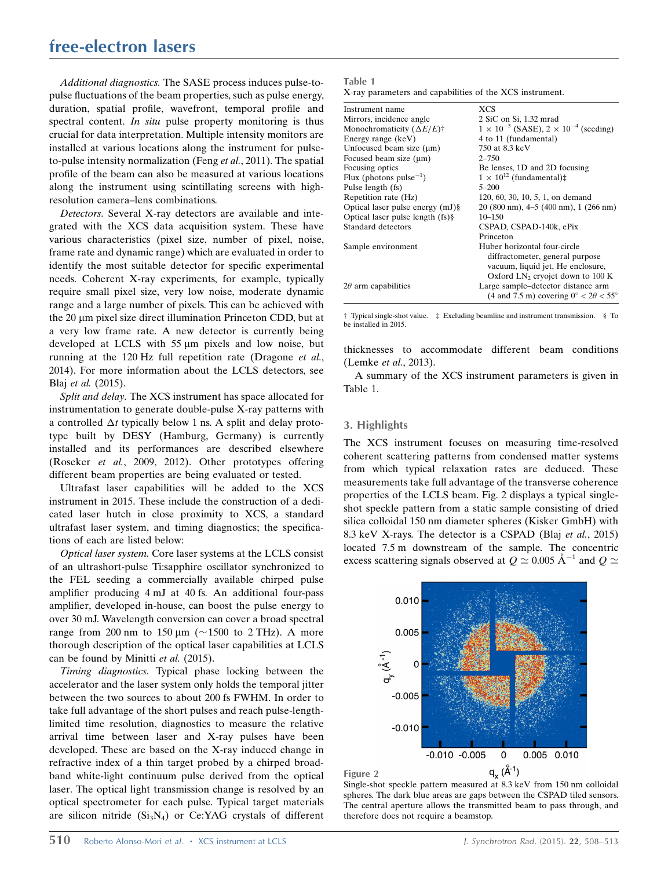Additional diagnostics. The SASE process induces pulse-topulse fluctuations of the beam properties, such as pulse energy, duration, spatial profile, wavefront, temporal profile and spectral content. In situ pulse property monitoring is thus crucial for data interpretation. Multiple intensity monitors are installed at various locations along the instrument for pulseto-pulse intensity normalization (Feng et al., 2011). The spatial profile of the beam can also be measured at various locations along the instrument using scintillating screens with highresolution camera–lens combinations.

Detectors. Several X-ray detectors are available and integrated with the XCS data acquisition system. These have various characteristics (pixel size, number of pixel, noise, frame rate and dynamic range) which are evaluated in order to identify the most suitable detector for specific experimental needs. Coherent X-ray experiments, for example, typically require small pixel size, very low noise, moderate dynamic range and a large number of pixels. This can be achieved with the 20 mm pixel size direct illumination Princeton CDD, but at a very low frame rate. A new detector is currently being developed at LCLS with 55  $\mu$ m pixels and low noise, but running at the 120 Hz full repetition rate (Dragone et al., 2014). For more information about the LCLS detectors, see Blaj et al. (2015).

Split and delay. The XCS instrument has space allocated for instrumentation to generate double-pulse X-ray patterns with a controlled  $\Delta t$  typically below 1 ns. A split and delay prototype built by DESY (Hamburg, Germany) is currently installed and its performances are described elsewhere (Roseker et al., 2009, 2012). Other prototypes offering different beam properties are being evaluated or tested.

Ultrafast laser capabilities will be added to the XCS instrument in 2015. These include the construction of a dedicated laser hutch in close proximity to XCS, a standard ultrafast laser system, and timing diagnostics; the specifications of each are listed below:

Optical laser system. Core laser systems at the LCLS consist of an ultrashort-pulse Ti:sapphire oscillator synchronized to the FEL seeding a commercially available chirped pulse amplifier producing 4 mJ at 40 fs. An additional four-pass amplifier, developed in-house, can boost the pulse energy to over 30 mJ. Wavelength conversion can cover a broad spectral range from 200 nm to 150  $\mu$ m ( $\sim$ 1500 to 2 THz). A more thorough description of the optical laser capabilities at LCLS can be found by Minitti et al. (2015).

Timing diagnostics. Typical phase locking between the accelerator and the laser system only holds the temporal jitter between the two sources to about 200 fs FWHM. In order to take full advantage of the short pulses and reach pulse-lengthlimited time resolution, diagnostics to measure the relative arrival time between laser and X-ray pulses have been developed. These are based on the X-ray induced change in refractive index of a thin target probed by a chirped broadband white-light continuum pulse derived from the optical laser. The optical light transmission change is resolved by an optical spectrometer for each pulse. Typical target materials are silicon nitride  $(Si<sub>3</sub>N<sub>4</sub>)$  or Ce:YAG crystals of different

| . | ۹ | ٠ |  |
|---|---|---|--|
|   |   |   |  |

| X-ray parameters and capabilities of the XCS instrument. |  |  |  |  |  |  |
|----------------------------------------------------------|--|--|--|--|--|--|
|----------------------------------------------------------|--|--|--|--|--|--|

| Instrument name                                  | XCS                                                                |  |  |  |  |
|--------------------------------------------------|--------------------------------------------------------------------|--|--|--|--|
| Mirrors, incidence angle                         | 2 SiC on Si, 1.32 mrad                                             |  |  |  |  |
| Monochromaticity $(\Delta E/E)^{\dagger}$        | $1 \times 10^{-3}$ (SASE), $2 \times 10^{-4}$ (seeding)            |  |  |  |  |
| Energy range (keV)                               | 4 to 11 (fundamental)                                              |  |  |  |  |
| Unfocused beam size $(\mu m)$                    | 750 at 8.3 keV                                                     |  |  |  |  |
| Focused beam size $(\mu m)$                      | $2 - 750$                                                          |  |  |  |  |
| Focusing optics                                  | Be lenses, 1D and 2D focusing                                      |  |  |  |  |
| Flux (photons pulse <sup><math>-1</math></sup> ) | $1 \times 10^{12}$ (fundamental):                                  |  |  |  |  |
| Pulse length (fs)                                | $5 - 200$                                                          |  |  |  |  |
| Repetition rate (Hz)                             | 120, 60, 30, 10, 5, 1, on demand                                   |  |  |  |  |
| Optical laser pulse energy $(mJ)$ §              | $20(800 \text{ nm})$ , $4-5(400 \text{ nm})$ , $1(266 \text{ nm})$ |  |  |  |  |
| Optical laser pulse length (fs)§                 | $10 - 150$                                                         |  |  |  |  |
| Standard detectors                               | CSPAD, CSPAD-140k, ePix                                            |  |  |  |  |
|                                                  | Princeton                                                          |  |  |  |  |
| Sample environment                               | Huber horizontal four-circle                                       |  |  |  |  |
|                                                  | diffractometer, general purpose                                    |  |  |  |  |
|                                                  | vacuum, liquid jet, He enclosure,                                  |  |  |  |  |
|                                                  | Oxford $LN_2$ cryojet down to 100 K                                |  |  |  |  |
| $2\theta$ arm capabilities                       | Large sample-detector distance arm                                 |  |  |  |  |
|                                                  | (4 and 7.5 m) covering $0^{\circ} < 2\theta < 55^{\circ}$          |  |  |  |  |
|                                                  |                                                                    |  |  |  |  |

† Typical single-shot value. ‡ Excluding beamline and instrument transmission. § To be installed in 2015.

thicknesses to accommodate different beam conditions (Lemke et al., 2013).

A summary of the XCS instrument parameters is given in Table 1.

#### 3. Highlights

The XCS instrument focuses on measuring time-resolved coherent scattering patterns from condensed matter systems from which typical relaxation rates are deduced. These measurements take full advantage of the transverse coherence properties of the LCLS beam. Fig. 2 displays a typical singleshot speckle pattern from a static sample consisting of dried silica colloidal 150 nm diameter spheres (Kisker GmbH) with 8.3 keV X-rays. The detector is a CSPAD (Blaj et al., 2015) located 7.5 m downstream of the sample. The concentric excess scattering signals observed at  $Q \simeq 0.005 \text{ Å}^{-1}$  and  $Q \simeq$ 



Single-shot speckle pattern measured at 8.3 keV from 150 nm colloidal spheres. The dark blue areas are gaps between the CSPAD tiled sensors. The central aperture allows the transmitted beam to pass through, and therefore does not require a beamstop.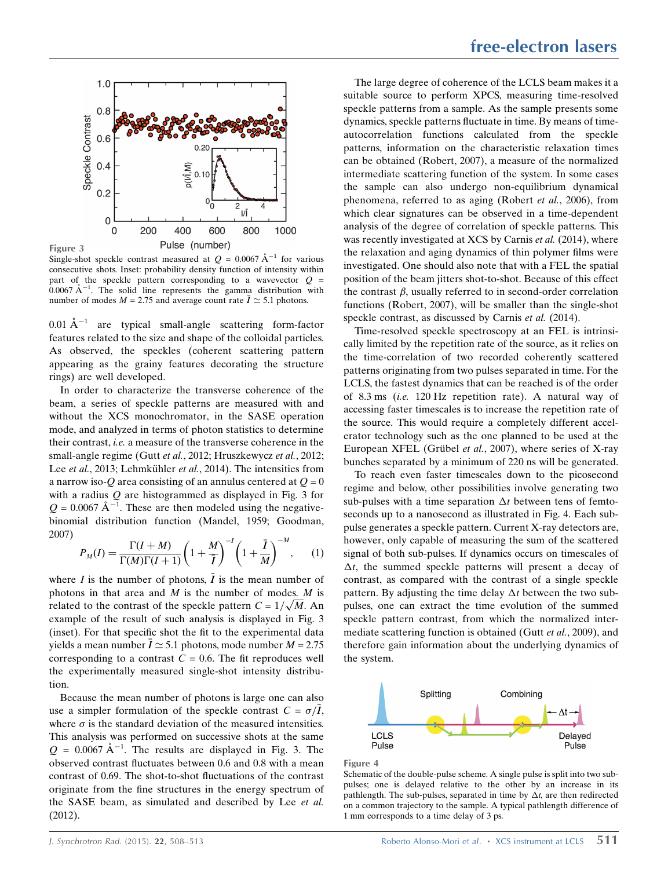

Single-shot speckle contrast measured at  $Q = 0.0067 \text{ Å}^{-1}$  for various consecutive shots. Inset: probability density function of intensity within part of the speckle pattern corresponding to a wavevector  $Q =$  $0.0067 \text{ Å}^{-1}$ . The solid line represents the gamma distribution with number of modes  $M = 2.75$  and average count rate  $\bar{I} \simeq 5.1$  photons.

 $0.01 \text{ Å}^{-1}$  are typical small-angle scattering form-factor features related to the size and shape of the colloidal particles. As observed, the speckles (coherent scattering pattern appearing as the grainy features decorating the structure rings) are well developed.

In order to characterize the transverse coherence of the beam, a series of speckle patterns are measured with and without the XCS monochromator, in the SASE operation mode, and analyzed in terms of photon statistics to determine their contrast, i.e. a measure of the transverse coherence in the small-angle regime (Gutt et al., 2012; Hruszkewycz et al., 2012; Lee et al., 2013; Lehmkühler et al., 2014). The intensities from a narrow iso-Q area consisting of an annulus centered at  $Q = 0$ with a radius  $O$  are histogrammed as displayed in Fig. 3 for  $Q = 0.0067 \text{ Å}^{-1}$ . These are then modeled using the negativebinomial distribution function (Mandel, 1959; Goodman, 2007)

$$
P_M(I) = \frac{\Gamma(I+M)}{\Gamma(M)\Gamma(I+1)} \left(1 + \frac{M}{\bar{I}}\right)^{-I} \left(1 + \frac{\bar{I}}{M}\right)^{-M},\qquad(1)
$$

where *I* is the number of photons,  $\overline{I}$  is the mean number of photons in that area and  $M$  is the number of modes.  $M$  is photons in that area and *M* is the number of modes. *M* is<br>related to the contrast of the speckle pattern  $C = 1/\sqrt{M}$ . An example of the result of such analysis is displayed in Fig. 3 (inset). For that specific shot the fit to the experimental data yields a mean number  $\bar{I} \simeq$  5.1 photons, mode number  $M$  = 2.75 corresponding to a contrast  $C = 0.6$ . The fit reproduces well the experimentally measured single-shot intensity distribution.

Because the mean number of photons is large one can also use a simpler formulation of the speckle contrast  $C = \sigma / \overline{I}$ , where  $\sigma$  is the standard deviation of the measured intensities. This analysis was performed on successive shots at the same  $Q = 0.0067 \text{ Å}^{-1}$ . The results are displayed in Fig. 3. The observed contrast fluctuates between 0.6 and 0.8 with a mean contrast of 0.69. The shot-to-shot fluctuations of the contrast originate from the fine structures in the energy spectrum of the SASE beam, as simulated and described by Lee et al. (2012).

The large degree of coherence of the LCLS beam makes it a suitable source to perform XPCS, measuring time-resolved speckle patterns from a sample. As the sample presents some dynamics, speckle patterns fluctuate in time. By means of timeautocorrelation functions calculated from the speckle patterns, information on the characteristic relaxation times can be obtained (Robert, 2007), a measure of the normalized intermediate scattering function of the system. In some cases the sample can also undergo non-equilibrium dynamical phenomena, referred to as aging (Robert et al., 2006), from which clear signatures can be observed in a time-dependent analysis of the degree of correlation of speckle patterns. This was recently investigated at XCS by Carnis et al. (2014), where the relaxation and aging dynamics of thin polymer films were investigated. One should also note that with a FEL the spatial position of the beam jitters shot-to-shot. Because of this effect the contrast  $\beta$ , usually referred to in second-order correlation functions (Robert, 2007), will be smaller than the single-shot speckle contrast, as discussed by Carnis *et al.* (2014).

Time-resolved speckle spectroscopy at an FEL is intrinsically limited by the repetition rate of the source, as it relies on the time-correlation of two recorded coherently scattered patterns originating from two pulses separated in time. For the LCLS, the fastest dynamics that can be reached is of the order of 8.3 ms (i.e. 120 Hz repetition rate). A natural way of accessing faster timescales is to increase the repetition rate of the source. This would require a completely different accelerator technology such as the one planned to be used at the European XFEL (Grübel et al., 2007), where series of X-ray bunches separated by a minimum of 220 ns will be generated.

To reach even faster timescales down to the picosecond regime and below, other possibilities involve generating two sub-pulses with a time separation  $\Delta t$  between tens of femtoseconds up to a nanosecond as illustrated in Fig. 4. Each subpulse generates a speckle pattern. Current X-ray detectors are, however, only capable of measuring the sum of the scattered signal of both sub-pulses. If dynamics occurs on timescales of  $\Delta t$ , the summed speckle patterns will present a decay of contrast, as compared with the contrast of a single speckle pattern. By adjusting the time delay  $\Delta t$  between the two subpulses, one can extract the time evolution of the summed speckle pattern contrast, from which the normalized intermediate scattering function is obtained (Gutt et al., 2009), and therefore gain information about the underlying dynamics of the system.



Figure 4

Schematic of the double-pulse scheme. A single pulse is split into two subpulses; one is delayed relative to the other by an increase in its pathlength. The sub-pulses, separated in time by  $\Delta t$ , are then redirected on a common trajectory to the sample. A typical pathlength difference of 1 mm corresponds to a time delay of 3 ps.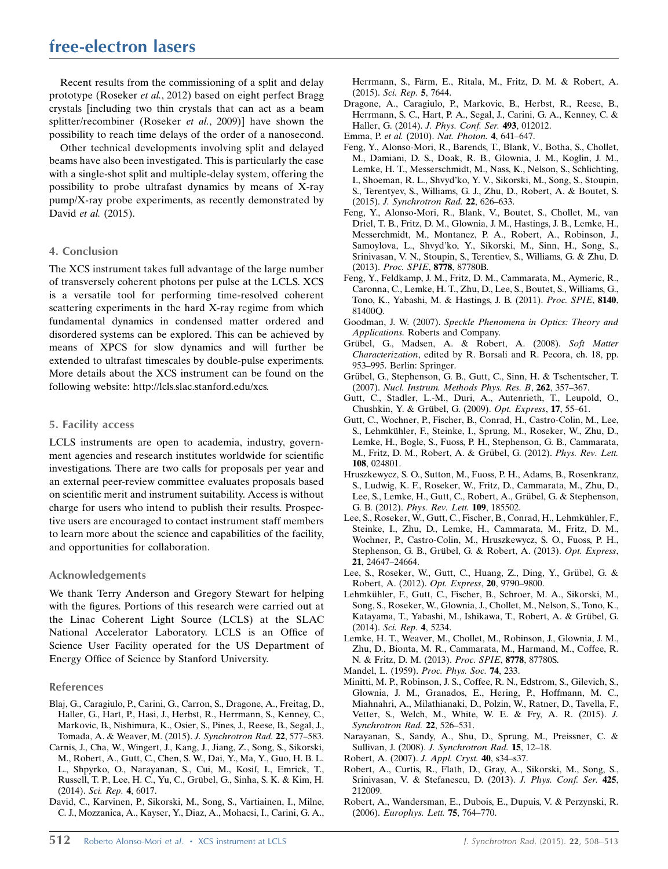Recent results from the commissioning of a split and delay prototype (Roseker et al., 2012) based on eight perfect Bragg crystals [including two thin crystals that can act as a beam splitter/recombiner (Roseker et al., 2009)] have shown the possibility to reach time delays of the order of a nanosecond.

Other technical developments involving split and delayed beams have also been investigated. This is particularly the case with a single-shot split and multiple-delay system, offering the possibility to probe ultrafast dynamics by means of X-ray pump/X-ray probe experiments, as recently demonstrated by David et al. (2015).

## 4. Conclusion

The XCS instrument takes full advantage of the large number of transversely coherent photons per pulse at the LCLS. XCS is a versatile tool for performing time-resolved coherent scattering experiments in the hard X-ray regime from which fundamental dynamics in condensed matter ordered and disordered systems can be explored. This can be achieved by means of XPCS for slow dynamics and will further be extended to ultrafast timescales by double-pulse experiments. More details about the XCS instrument can be found on the following website: http://lcls.slac.stanford.edu/xcs.

### 5. Facility access

LCLS instruments are open to academia, industry, government agencies and research institutes worldwide for scientific investigations. There are two calls for proposals per year and an external peer-review committee evaluates proposals based on scientific merit and instrument suitability. Access is without charge for users who intend to publish their results. Prospective users are encouraged to contact instrument staff members to learn more about the science and capabilities of the facility, and opportunities for collaboration.

#### Acknowledgements

We thank Terry Anderson and Gregory Stewart for helping with the figures. Portions of this research were carried out at the Linac Coherent Light Source (LCLS) at the SLAC National Accelerator Laboratory. LCLS is an Office of Science User Facility operated for the US Department of Energy Office of Science by Stanford University.

#### References

- [Blaj, G., Caragiulo, P., Carini, G., Carron, S., Dragone, A., Freitag, D.,](http://scripts.iucr.org/cgi-bin/cr.cgi?rm=pdfbb&cnor=yi5009&bbid=BB1) [Haller, G., Hart, P., Hasi, J., Herbst, R., Herrmann, S., Kenney, C.,](http://scripts.iucr.org/cgi-bin/cr.cgi?rm=pdfbb&cnor=yi5009&bbid=BB1) [Markovic, B., Nishimura, K., Osier, S., Pines, J., Reese, B., Segal, J.,](http://scripts.iucr.org/cgi-bin/cr.cgi?rm=pdfbb&cnor=yi5009&bbid=BB1) [Tomada, A. & Weaver, M. \(2015\).](http://scripts.iucr.org/cgi-bin/cr.cgi?rm=pdfbb&cnor=yi5009&bbid=BB1) J. Synchrotron Rad. 22, 577–583.
- [Carnis, J., Cha, W., Wingert, J., Kang, J., Jiang, Z., Song, S., Sikorski,](http://scripts.iucr.org/cgi-bin/cr.cgi?rm=pdfbb&cnor=yi5009&bbid=BB2) [M., Robert, A., Gutt, C., Chen, S. W., Dai, Y., Ma, Y., Guo, H. B. L.](http://scripts.iucr.org/cgi-bin/cr.cgi?rm=pdfbb&cnor=yi5009&bbid=BB2) [L., Shpyrko, O., Narayanan, S., Cui, M., Kosif, I., Emrick, T.,](http://scripts.iucr.org/cgi-bin/cr.cgi?rm=pdfbb&cnor=yi5009&bbid=BB2) Russell, T. P., Lee, H. C., Yu, C., Grübel, G., Sinha, S. K. & Kim, H. (2014). [Sci. Rep.](http://scripts.iucr.org/cgi-bin/cr.cgi?rm=pdfbb&cnor=yi5009&bbid=BB2) 4, 6017.
- [David, C., Karvinen, P., Sikorski, M., Song, S., Vartiainen, I., Milne,](http://scripts.iucr.org/cgi-bin/cr.cgi?rm=pdfbb&cnor=yi5009&bbid=BB3) [C. J., Mozzanica, A., Kayser, Y., Diaz, A., Mohacsi, I., Carini, G. A.,](http://scripts.iucr.org/cgi-bin/cr.cgi?rm=pdfbb&cnor=yi5009&bbid=BB3)

Herrmann, S., Färm, E., Ritala, M., Fritz, D. M. & Robert, A. (2015). [Sci. Rep.](http://scripts.iucr.org/cgi-bin/cr.cgi?rm=pdfbb&cnor=yi5009&bbid=BB3) 5, 7644.

- [Dragone, A., Caragiulo, P., Markovic, B., Herbst, R., Reese, B.,](http://scripts.iucr.org/cgi-bin/cr.cgi?rm=pdfbb&cnor=yi5009&bbid=BB4) [Herrmann, S. C., Hart, P. A., Segal, J., Carini, G. A., Kenney, C. &](http://scripts.iucr.org/cgi-bin/cr.cgi?rm=pdfbb&cnor=yi5009&bbid=BB4) Haller, G. (2014). [J. Phys. Conf. Ser.](http://scripts.iucr.org/cgi-bin/cr.cgi?rm=pdfbb&cnor=yi5009&bbid=BB4) 493, 012012.
- Emma, P. et al. (2010). [Nat. Photon.](http://scripts.iucr.org/cgi-bin/cr.cgi?rm=pdfbb&cnor=yi5009&bbid=BB5) 4, 641–647.
- [Feng, Y., Alonso-Mori, R., Barends, T., Blank, V., Botha, S., Chollet,](http://scripts.iucr.org/cgi-bin/cr.cgi?rm=pdfbb&cnor=yi5009&bbid=BB7) [M., Damiani, D. S., Doak, R. B., Glownia, J. M., Koglin, J. M.,](http://scripts.iucr.org/cgi-bin/cr.cgi?rm=pdfbb&cnor=yi5009&bbid=BB7) [Lemke, H. T., Messerschmidt, M., Nass, K., Nelson, S., Schlichting,](http://scripts.iucr.org/cgi-bin/cr.cgi?rm=pdfbb&cnor=yi5009&bbid=BB7) [I., Shoeman, R. L., Shvyd'ko, Y. V., Sikorski, M., Song, S., Stoupin,](http://scripts.iucr.org/cgi-bin/cr.cgi?rm=pdfbb&cnor=yi5009&bbid=BB7) [S., Terentyev, S., Williams, G. J., Zhu, D., Robert, A. & Boutet, S.](http://scripts.iucr.org/cgi-bin/cr.cgi?rm=pdfbb&cnor=yi5009&bbid=BB7) (2015). [J. Synchrotron Rad.](http://scripts.iucr.org/cgi-bin/cr.cgi?rm=pdfbb&cnor=yi5009&bbid=BB7) 22, 626–633.
- [Feng, Y., Alonso-Mori, R., Blank, V., Boutet, S., Chollet, M., van](http://scripts.iucr.org/cgi-bin/cr.cgi?rm=pdfbb&cnor=yi5009&bbid=BB8) [Driel, T. B., Fritz, D. M., Glownia, J. M., Hastings, J. B., Lemke, H.,](http://scripts.iucr.org/cgi-bin/cr.cgi?rm=pdfbb&cnor=yi5009&bbid=BB8) [Messerchmidt, M., Montanez, P. A., Robert, A., Robinson, J.,](http://scripts.iucr.org/cgi-bin/cr.cgi?rm=pdfbb&cnor=yi5009&bbid=BB8) [Samoylova, L., Shvyd'ko, Y., Sikorski, M., Sinn, H., Song, S.,](http://scripts.iucr.org/cgi-bin/cr.cgi?rm=pdfbb&cnor=yi5009&bbid=BB8) [Srinivasan, V. N., Stoupin, S., Terentiev, S., Williams, G. & Zhu, D.](http://scripts.iucr.org/cgi-bin/cr.cgi?rm=pdfbb&cnor=yi5009&bbid=BB8) (2013). [Proc. SPIE](http://scripts.iucr.org/cgi-bin/cr.cgi?rm=pdfbb&cnor=yi5009&bbid=BB8), 8778, 87780B.
- [Feng, Y., Feldkamp, J. M., Fritz, D. M., Cammarata, M., Aymeric, R.,](http://scripts.iucr.org/cgi-bin/cr.cgi?rm=pdfbb&cnor=yi5009&bbid=BB6) [Caronna, C., Lemke, H. T., Zhu, D., Lee, S., Boutet, S., Williams, G.,](http://scripts.iucr.org/cgi-bin/cr.cgi?rm=pdfbb&cnor=yi5009&bbid=BB6) [Tono, K., Yabashi, M. & Hastings, J. B. \(2011\).](http://scripts.iucr.org/cgi-bin/cr.cgi?rm=pdfbb&cnor=yi5009&bbid=BB6) Proc. SPIE, 8140, [81400Q.](http://scripts.iucr.org/cgi-bin/cr.cgi?rm=pdfbb&cnor=yi5009&bbid=BB6)
- Goodman, J. W. (2007). [Speckle Phenomena in Optics: Theory and](http://scripts.iucr.org/cgi-bin/cr.cgi?rm=pdfbb&cnor=yi5009&bbid=BB9) Applications. [Roberts and Company.](http://scripts.iucr.org/cgi-bin/cr.cgi?rm=pdfbb&cnor=yi5009&bbid=BB9)
- Grübel, G., Madsen, A. & Robert, A. (2008). Soft Matter Characterization[, edited by R. Borsali and R. Pecora, ch. 18, pp.](http://scripts.iucr.org/cgi-bin/cr.cgi?rm=pdfbb&cnor=yi5009&bbid=BB10) [953–995. Berlin: Springer.](http://scripts.iucr.org/cgi-bin/cr.cgi?rm=pdfbb&cnor=yi5009&bbid=BB10)
- Grübel, G., Stephenson, G. B., Gutt, C., Sinn, H. & Tschentscher, T. (2007). [Nucl. Instrum. Methods Phys. Res. B](http://scripts.iucr.org/cgi-bin/cr.cgi?rm=pdfbb&cnor=yi5009&bbid=BB11), 262, 357–367.
- [Gutt, C., Stadler, L.-M., Duri, A., Autenrieth, T., Leupold, O.,](http://scripts.iucr.org/cgi-bin/cr.cgi?rm=pdfbb&cnor=yi5009&bbid=BB12) Chushkin, Y. & Grübel, G. (2009). Opt. Express, 17, 55-61.
- [Gutt, C., Wochner, P., Fischer, B., Conrad, H., Castro-Colin, M., Lee,](http://scripts.iucr.org/cgi-bin/cr.cgi?rm=pdfbb&cnor=yi5009&bbid=BB13) S., Lehmkühler, F., Steinke, I., Sprung, M., Roseker, W., Zhu, D., [Lemke, H., Bogle, S., Fuoss, P. H., Stephenson, G. B., Cammarata,](http://scripts.iucr.org/cgi-bin/cr.cgi?rm=pdfbb&cnor=yi5009&bbid=BB13) M., Fritz, D. M., Robert, A. & Grübel, G. (2012). Phys. Rev. Lett. 108[, 024801.](http://scripts.iucr.org/cgi-bin/cr.cgi?rm=pdfbb&cnor=yi5009&bbid=BB13)
- [Hruszkewycz, S. O., Sutton, M., Fuoss, P. H., Adams, B., Rosenkranz,](http://scripts.iucr.org/cgi-bin/cr.cgi?rm=pdfbb&cnor=yi5009&bbid=BB14) [S., Ludwig, K. F., Roseker, W., Fritz, D., Cammarata, M., Zhu, D.,](http://scripts.iucr.org/cgi-bin/cr.cgi?rm=pdfbb&cnor=yi5009&bbid=BB14) Lee, S., Lemke, H., Gutt, C., Robert, A., Grübel, G. & Stephenson, G. B. (2012). [Phys. Rev. Lett.](http://scripts.iucr.org/cgi-bin/cr.cgi?rm=pdfbb&cnor=yi5009&bbid=BB14) 109, 185502.
- Lee, S., Roseker, W., Gutt, C., Fischer, B., Conrad, H., Lehmkühler, F., [Steinke, I., Zhu, D., Lemke, H., Cammarata, M., Fritz, D. M.,](http://scripts.iucr.org/cgi-bin/cr.cgi?rm=pdfbb&cnor=yi5009&bbid=BB15) [Wochner, P., Castro-Colin, M., Hruszkewycz, S. O., Fuoss, P. H.,](http://scripts.iucr.org/cgi-bin/cr.cgi?rm=pdfbb&cnor=yi5009&bbid=BB15) Stephenson, G. B., Grübel, G. & Robert, A. (2013). Opt. Express, 21[, 24647–24664.](http://scripts.iucr.org/cgi-bin/cr.cgi?rm=pdfbb&cnor=yi5009&bbid=BB15)
- Lee, S., Roseker, W., Gutt, C., Huang, Z., Ding, Y., Grübel, G. & [Robert, A. \(2012\).](http://scripts.iucr.org/cgi-bin/cr.cgi?rm=pdfbb&cnor=yi5009&bbid=BB16) Opt. Express, 20, 9790–9800.
- Lehmkühler, F., Gutt, C., Fischer, B., Schroer, M. A., Sikorski, M., [Song, S., Roseker, W., Glownia, J., Chollet, M., Nelson, S., Tono, K.,](http://scripts.iucr.org/cgi-bin/cr.cgi?rm=pdfbb&cnor=yi5009&bbid=BB17) Katayama, T., Yabashi, M., Ishikawa, T., Robert, A. & Grübel, G. (2014). [Sci. Rep.](http://scripts.iucr.org/cgi-bin/cr.cgi?rm=pdfbb&cnor=yi5009&bbid=BB17) 4, 5234.
- [Lemke, H. T., Weaver, M., Chollet, M., Robinson, J., Glownia, J. M.,](http://scripts.iucr.org/cgi-bin/cr.cgi?rm=pdfbb&cnor=yi5009&bbid=BB18) [Zhu, D., Bionta, M. R., Cammarata, M., Harmand, M., Coffee, R.](http://scripts.iucr.org/cgi-bin/cr.cgi?rm=pdfbb&cnor=yi5009&bbid=BB18) [N. & Fritz, D. M. \(2013\).](http://scripts.iucr.org/cgi-bin/cr.cgi?rm=pdfbb&cnor=yi5009&bbid=BB18) Proc. SPIE, 8778, 87780S.
- [Mandel, L. \(1959\).](http://scripts.iucr.org/cgi-bin/cr.cgi?rm=pdfbb&cnor=yi5009&bbid=BB19) Proc. Phys. Soc. **74**, 233.
- [Minitti, M. P., Robinson, J. S., Coffee, R. N., Edstrom, S., Gilevich, S.,](http://scripts.iucr.org/cgi-bin/cr.cgi?rm=pdfbb&cnor=yi5009&bbid=BB20) [Glownia, J. M., Granados, E., Hering, P., Hoffmann, M. C.,](http://scripts.iucr.org/cgi-bin/cr.cgi?rm=pdfbb&cnor=yi5009&bbid=BB20) [Miahnahri, A., Milathianaki, D., Polzin, W., Ratner, D., Tavella, F.,](http://scripts.iucr.org/cgi-bin/cr.cgi?rm=pdfbb&cnor=yi5009&bbid=BB20) [Vetter, S., Welch, M., White, W. E. & Fry, A. R. \(2015\).](http://scripts.iucr.org/cgi-bin/cr.cgi?rm=pdfbb&cnor=yi5009&bbid=BB20) J. [Synchrotron Rad.](http://scripts.iucr.org/cgi-bin/cr.cgi?rm=pdfbb&cnor=yi5009&bbid=BB20) 22, 526–531.
- [Narayanan, S., Sandy, A., Shu, D., Sprung, M., Preissner, C. &](http://scripts.iucr.org/cgi-bin/cr.cgi?rm=pdfbb&cnor=yi5009&bbid=BB21) Sullivan, J. (2008). [J. Synchrotron Rad.](http://scripts.iucr.org/cgi-bin/cr.cgi?rm=pdfbb&cnor=yi5009&bbid=BB21) 15, 12–18.
- [Robert, A. \(2007\).](http://scripts.iucr.org/cgi-bin/cr.cgi?rm=pdfbb&cnor=yi5009&bbid=BB22) J. Appl. Cryst. 40, s34-s37.
- [Robert, A., Curtis, R., Flath, D., Gray, A., Sikorski, M., Song, S.,](http://scripts.iucr.org/cgi-bin/cr.cgi?rm=pdfbb&cnor=yi5009&bbid=BB23) [Srinivasan, V. & Stefanescu, D. \(2013\).](http://scripts.iucr.org/cgi-bin/cr.cgi?rm=pdfbb&cnor=yi5009&bbid=BB23) J. Phys. Conf. Ser. 425, [212009.](http://scripts.iucr.org/cgi-bin/cr.cgi?rm=pdfbb&cnor=yi5009&bbid=BB23)
- [Robert, A., Wandersman, E., Dubois, E., Dupuis, V. & Perzynski, R.](http://scripts.iucr.org/cgi-bin/cr.cgi?rm=pdfbb&cnor=yi5009&bbid=BB24) (2006). [Europhys. Lett.](http://scripts.iucr.org/cgi-bin/cr.cgi?rm=pdfbb&cnor=yi5009&bbid=BB24) 75, 764–770.